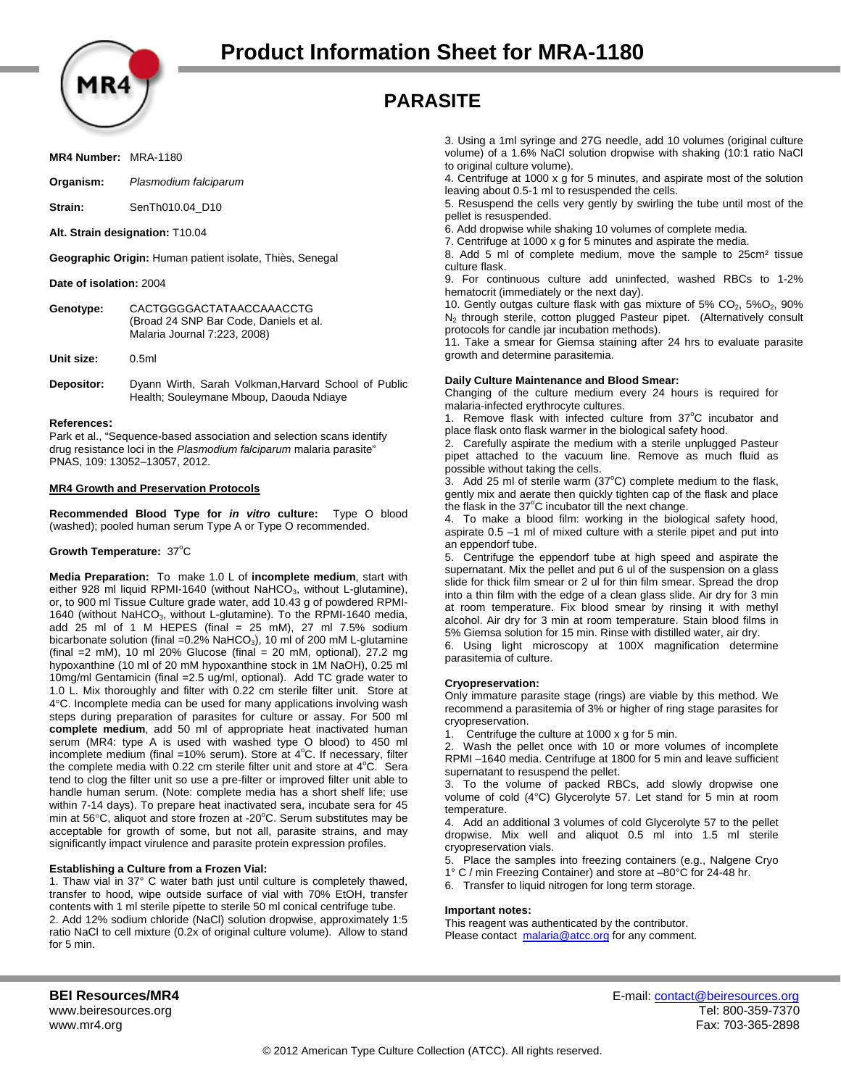

# **PARASITE**

**MR4 Number:** MRA-1180

**Organism:** *Plasmodium falciparum*

**Strain:** SenTh010.04 D10

**Alt. Strain designation:** T10.04

**Geographic Origin:** Human patient isolate, Thiès, Senegal

**Date of isolation:** 2004

| Genotype: | CACTGGGGACTATAACCAAACCTG               |
|-----------|----------------------------------------|
|           | (Broad 24 SNP Bar Code, Daniels et al. |
|           | Malaria Journal 7:223, 2008)           |

**Unit size:** 0.5ml

**Depositor:** Dyann Wirth, Sarah Volkman,Harvard School of Public Health; Souleymane Mboup, Daouda Ndiaye

### **References:**

Park et al., "Sequence-based association and selection scans identify drug resistance loci in the *Plasmodium falciparum* malaria parasite" PNAS, 109: 13052–13057, 2012.

### **MR4 Growth and Preservation Protocols**

**Recommended Blood Type for** *in vitro* **culture:** Type O blood (washed); pooled human serum Type A or Type O recommended.

# Growth Temperature: 37°C

**Media Preparation:** To make 1.0 L of **incomplete medium**, start with either 928 ml liquid RPMI-1640 (without NaHCO<sub>3</sub>, without L-glutamine), or, to 900 ml Tissue Culture grade water, add 10.43 g of powdered RPMI-1640 (without NaHCO<sub>3</sub>, without L-glutamine). To the RPMI-1640 media, add 25 ml of 1 M HEPES (final =  $25$  mM), 27 ml 7.5% sodium bicarbonate solution (final = $0.2\%$  NaHCO<sub>3</sub>), 10 ml of 200 mM L-glutamine (final =2 mM), 10 ml 20% Glucose (final = 20 mM, optional), 27.2 mg hypoxanthine (10 ml of 20 mM hypoxanthine stock in 1M NaOH), 0.25 ml 10mg/ml Gentamicin (final =2.5 ug/ml, optional). Add TC grade water to 1.0 L. Mix thoroughly and filter with 0.22 cm sterile filter unit. Store at 4°C. Incomplete media can be used for many applications involving wash steps during preparation of parasites for culture or assay. For 500 ml **complete medium**, add 50 ml of appropriate heat inactivated human serum (MR4: type A is used with washed type O blood) to 450 ml incomplete medium (final =10% serum). Store at  $4^{\circ}$ C. If necessary, filter the complete media with 0.22 cm sterile filter unit and store at  $4^{\circ}$ C. Sera tend to clog the filter unit so use a pre-filter or improved filter unit able to handle human serum. (Note: complete media has a short shelf life; use within 7-14 days). To prepare heat inactivated sera, incubate sera for 45 min at 56 $\mathrm{^{\circ}C}$ , aliquot and store frozen at -20 $\mathrm{^{\circ}C}$ . Serum substitutes may be acceptable for growth of some, but not all, parasite strains, and may significantly impact virulence and parasite protein expression profiles.

### **Establishing a Culture from a Frozen Vial:**

1. Thaw vial in 37° C water bath just until culture is completely thawed, transfer to hood, wipe outside surface of vial with 70% EtOH, transfer contents with 1 ml sterile pipette to sterile 50 ml conical centrifuge tube. 2. Add 12% sodium chloride (NaCl) solution dropwise, approximately 1:5 ratio NaCl to cell mixture (0.2x of original culture volume). Allow to stand for 5 min.

3. Using a 1ml syringe and 27G needle, add 10 volumes (original culture volume) of a 1.6% NaCl solution dropwise with shaking (10:1 ratio NaCl to original culture volume).

4. Centrifuge at 1000 x g for 5 minutes, and aspirate most of the solution leaving about 0.5-1 ml to resuspended the cells.

5. Resuspend the cells very gently by swirling the tube until most of the pellet is resuspended.

6. Add dropwise while shaking 10 volumes of complete media.

7. Centrifuge at 1000 x g for 5 minutes and aspirate the media.

8. Add 5 ml of complete medium, move the sample to 25cm² tissue culture flask.

9. For continuous culture add uninfected, washed RBCs to 1-2% hematocrit (immediately or the next day).

10. Gently outgas culture flask with gas mixture of  $5\%$  CO<sub>2</sub>,  $5\%$ O<sub>2</sub>,  $90\%$ N<sub>2</sub> through sterile, cotton plugged Pasteur pipet. (Alternatively consult protocols for candle jar incubation methods).

11. Take a smear for Giemsa staining after 24 hrs to evaluate parasite growth and determine parasitemia.

### **Daily Culture Maintenance and Blood Smear:**

Changing of the culture medium every 24 hours is required for malaria-infected erythrocyte cultures.

1. Remove flask with infected culture from 37°C incubator and place flask onto flask warmer in the biological safety hood.

2. Carefully aspirate the medium with a sterile unplugged Pasteur pipet attached to the vacuum line. Remove as much fluid as possible without taking the cells.

3. Add 25 ml of sterile warm ( $37^{\circ}$ C) complete medium to the flask, gently mix and aerate then quickly tighten cap of the flask and place the flask in the 37°C incubator till the next change.

4. To make a blood film: working in the biological safety hood, aspirate 0.5 –1 ml of mixed culture with a sterile pipet and put into an eppendorf tube.

5. Centrifuge the eppendorf tube at high speed and aspirate the supernatant. Mix the pellet and put 6 ul of the suspension on a glass slide for thick film smear or 2 ul for thin film smear. Spread the drop into a thin film with the edge of a clean glass slide. Air dry for 3 min at room temperature. Fix blood smear by rinsing it with methyl alcohol. Air dry for 3 min at room temperature. Stain blood films in 5% Giemsa solution for 15 min. Rinse with distilled water, air dry.

6. Using light microscopy at 100X magnification determine parasitemia of culture.

### **Cryopreservation:**

Only immature parasite stage (rings) are viable by this method. We recommend a parasitemia of 3% or higher of ring stage parasites for cryopreservation.

1. Centrifuge the culture at 1000 x g for 5 min.

2. Wash the pellet once with 10 or more volumes of incomplete RPMI –1640 media. Centrifuge at 1800 for 5 min and leave sufficient supernatant to resuspend the pellet.

3. To the volume of packed RBCs, add slowly dropwise one volume of cold (4°C) Glycerolyte 57. Let stand for 5 min at room temperature.

4. Add an additional 3 volumes of cold Glycerolyte 57 to the pellet dropwise. Mix well and aliquot 0.5 ml into 1.5 ml sterile cryopreservation vials.

5. Place the samples into freezing containers (e.g., Nalgene Cryo

1° C / min Freezing Container) and store at –80°C for 24-48 hr.

6. Transfer to liquid nitrogen for long term storage.

### **Important notes:**

This reagent was authenticated by the contributor. Please contact malaria@atcc.org for any comment.

**BEI Resources/MR4 E-mail: contact@beiresources.org** www.beiresources.org Tel: 800-359-7370 www.mr4.org Fax: 703-365-2898